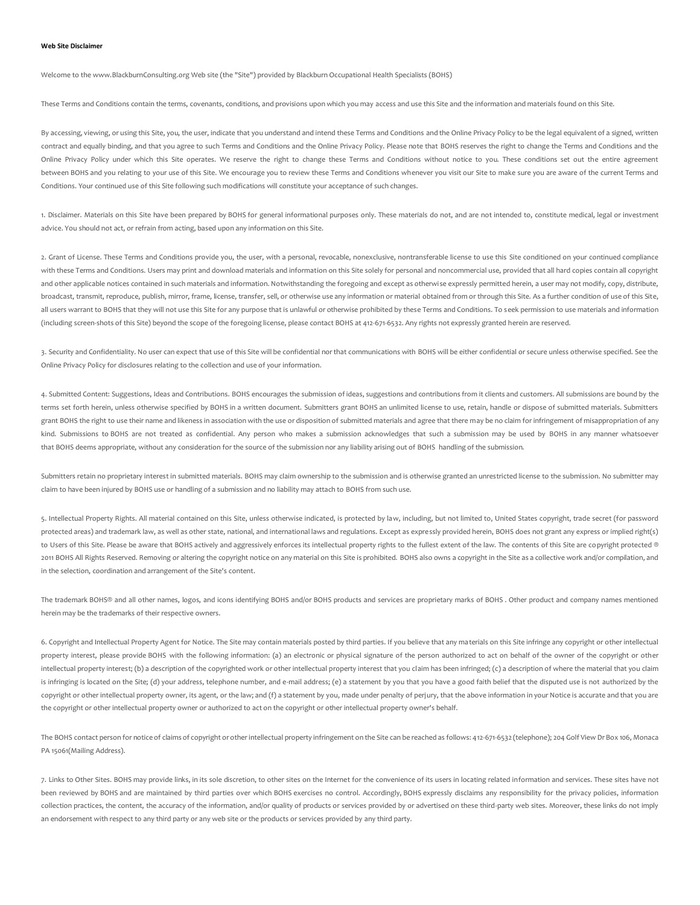## **Web Site Disclaimer**

Welcome to the www.BlackburnConsulting.org Web site (the "Site") provided by Blackburn Occupational Health Specialists (BOHS)

These Terms and Conditions contain the terms, covenants, conditions, and provisions upon which you may access and use this Site and the information and materials found on this Site.

By accessing, viewing, or using this Site, you, the user, indicate that you understand and intend these Terms and Conditions and the Online Privacy Policy to be the legal equivalent of a signed, written contract and equally binding, and that you agree to such Terms and Conditions and the Online Privacy Policy. Please note that BOHS reserves the right to change the Terms and Conditions and the Online Privacy Policy under which this Site operates. We reserve the right to change these Terms and Conditions without notice to you. These conditions set out the entire agreement between BOHS and you relating to your use of this Site. We encourage you to review these Terms and Conditions whenever you visit our Site to make sure you are aware of the current Terms and Conditions. Your continued use of this Site following such modifications will constitute your acceptance of such changes.

1. Disclaimer. Materials on this Site have been prepared by BOHS for general informational purposes only. These materials do not, and are not intended to, constitute medical, legal or investment advice. You should not act, or refrain from acting, based upon any information on this Site.

2. Grant of License, These Terms and Conditions provide you, the user, with a personal, revocable, nonexclusive, nontransferable license to use this Site conditioned on your continued compliance with these Terms and Conditions. Users may print and download materials and information on this Site solely for personal and noncommercial use, provided that all hard copies contain all copyright and other applicable notices contained in such materials and information. Notwithstanding the foregoing and except as otherwise expressly permitted herein, a user may not modify, copy, distribute, broadcast, transmit, reproduce, publish, mirror, frame, license, transfer, sell, or otherwise use any information or material obtained from or through this Site. As a further condition of use of this Site, all users warrant to BOHS that they will not use this Site for any purpose that is unlawful or otherwise prohibited by these Terms and Conditions. To seek permission to use materials and information (including screen-shots of this Site) beyond the scope of the foregoing license, please contact BOHS at 412-671-6532. Any rights not expressly granted herein are reserved.

3. Security and Confidentiality. No user can expect that use of this Site will be confidential nor that communications with BOHS will be either confidential or secure unless otherwise specified. See the Online Privacy Policy for disclosures relating to the collection and use of your information.

4. Submitted Content: Suggestions, Ideas and Contributions. BOHS encourages the submission of ideas, suggestions and contributions from it clients and customers. All submissions are bound by the terms set forth herein, unless otherwise specified by BOHS in a written document. Submitters grant BOHS an unlimited license to use, retain, handle or dispose of submitted materials. Submitters grant BOHS the right to use their name and likeness in association with the use or disposition of submitted materials and agree that there may be no claim for infringement of misappropriation of any kind. Submissions to BOHS are not treated as confidential. Any person who makes a submission acknowledges that such a submission may be used by BOHS in any manner whatsoever that BOHS deems appropriate, without any consideration for the source of the submission nor any liability arising out of BOHS handling of the submission.

Submitters retain no proprietary interest in submitted materials. BOHS may claim ownership to the submission and is otherwise granted an unrestricted license to the submission. No submitter may claim to have been injured by BOHS use or handling of a submission and no liability may attach to BOHS from such use.

5. Intellectual Property Rights. All material contained on this Site, unless otherwise indicated, is protected by law, including, but not limited to, United States copyright, trade secret (for password protected areas) and trademark law, as well as other state, national, and international laws and regulations. Except as expressly provided herein, BOHS does not grant any express or implied right(s) to Users of this Site. Please be aware that BOHS actively and aggressively enforces its intellectual property rights to the fullest extent of the law. The contents of this Site are copyright protected ® 2011 BOHS All Rights Reserved. Removing or altering the copyright notice on any material on this Site is prohibited. BOHS also owns a copyright in the Site as a collective work and/or compilation, and in the selection, coordination and arrangement of the Site's content.

The trademark BOHS® and all other names, logos, and icons identifying BOHS and/or BOHS products and services are proprietary marks of BOHS. Other product and company names mentioned herein may be the trademarks of their respective owners.

6. Copyright and Intellectual Property Agent for Notice. The Site may contain materials posted by third parties. If you believe that any materials on this Site infringe any copyright or other intellectual property interest, please provide BOHS with the following information: (a) an electronic or physical signature of the person authorized to act on behalf of the owner of the copyright or other intellectual property interest; (b) a description of the copyrighted work or other intellectual property interest that you claim has been infringed; (c) a description of where the material that you claim is infringing is located on the Site; (d) your address, telephone number, and e-mail address; (e) a statement by you that you have a good faith belief that the disputed use is not authorized by the copyright or other intellectual property owner, its agent, or the law; and (f) a statement by you, made under penalty of perjury, that the above information in your Notice is accurate and that you are the copyright or other intellectual property owner or authorized to act on the copyright or other intellectual property owner's behalf.

The BOHS contact person for notice of claims of copyright or other intellectual property infringement on the Site can be reached as follows: 412-671-6532 (telephone); 204 Golf View Dr Box 106, Monaca PA 15061(Mailing Address).

7. Links to Other Sites. BOHS may provide links, in its sole discretion, to other sites on the Internet for the convenience of its users in locating related information and services. These sites have not been reviewed by BOHS and are maintained by third parties over which BOHS exercises no control. Accordingly, BOHS expressly disclaims any responsibility for the privacy policies, information collection practices, the content, the accuracy of the information, and/or quality of products or services provided by or advertised on these third-party web sites. Moreover, these links do not imply an endorsement with respect to any third party or any web site or the products or services provided by any third party.